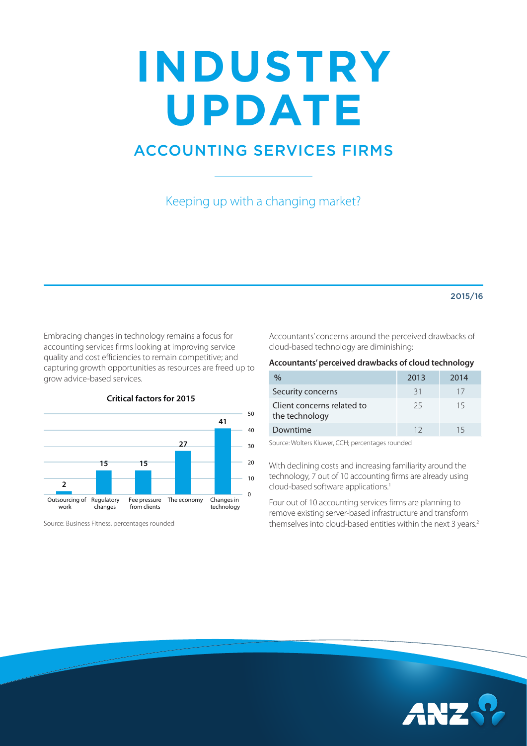# **INDUSTRY UPDATE**

## ACCOUNTING SERVICES FIRMS

Keeping up with a changing market?

#### 2015/16

Embracing changes in technology remains a focus for accounting services firms looking at improving service quality and cost efficiencies to remain competitive; and capturing growth opportunities as resources are freed up to grow advice-based services.



**Critical factors for 2015** 

Source: Business Fitness, percentages rounded

Accountants' concerns around the perceived drawbacks of cloud-based technology are diminishing:

#### **Accountants' perceived drawbacks of cloud technology**

| %                                            | 2013 | 2014 |
|----------------------------------------------|------|------|
| Security concerns                            | 31   | 17   |
| Client concerns related to<br>the technology | 25   | 15   |
| Downtime                                     | 12   | 15   |

Source: Wolters Kluwer, CCH; percentages rounded

With declining costs and increasing familiarity around the technology, 7 out of 10 accounting firms are already using cloud-based software applications.1

Four out of 10 accounting services firms are planning to remove existing server-based infrastructure and transform themselves into cloud-based entities within the next 3 years.<sup>2</sup>